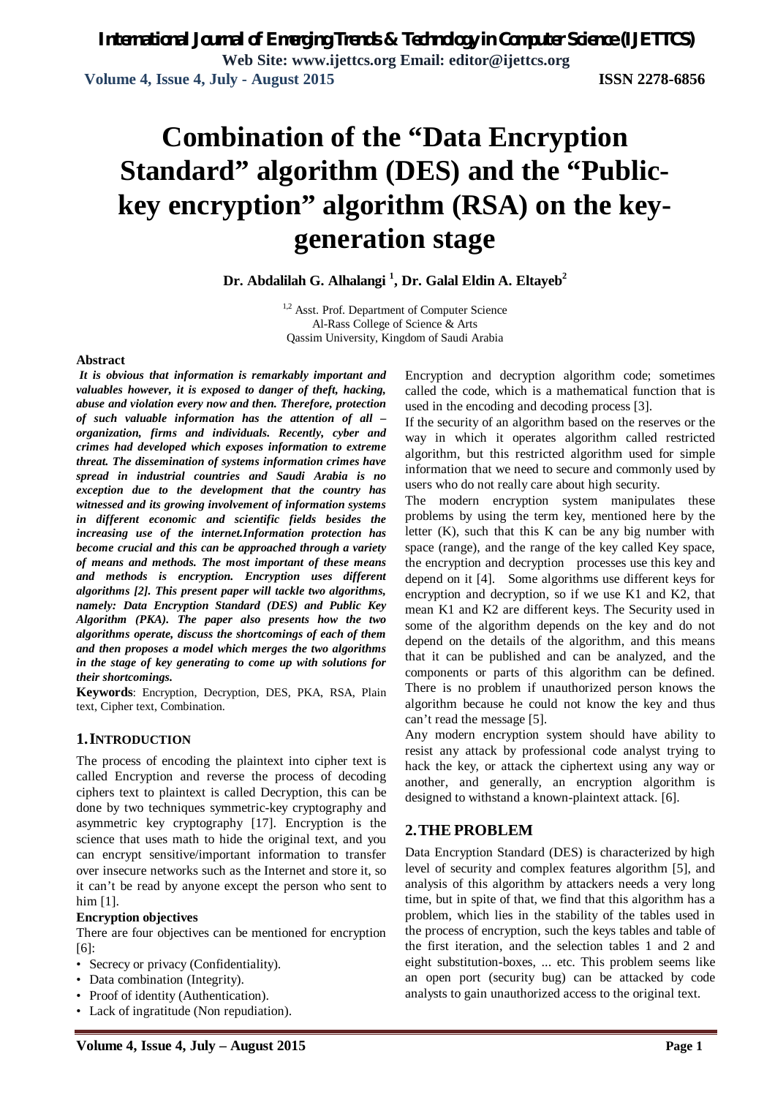# **Combination of the "Data Encryption Standard" algorithm (DES) and the "Publickey encryption" algorithm (RSA) on the keygeneration stage**

**Dr. Abdalilah G. Alhalangi <sup>1</sup> , Dr. Galal Eldin A. Eltayeb<sup>2</sup>**

<sup>1,2</sup> Asst. Prof. Department of Computer Science Al-Rass College of Science & Arts Qassim University, Kingdom of Saudi Arabia

#### **Abstract**

*It is obvious that information is remarkably important and valuables however, it is exposed to danger of theft, hacking, abuse and violation every now and then. Therefore, protection of such valuable information has the attention of all – organization, firms and individuals. Recently, cyber and crimes had developed which exposes information to extreme threat. The dissemination of systems information crimes have spread in industrial countries and Saudi Arabia is no exception due to the development that the country has witnessed and its growing involvement of information systems in different economic and scientific fields besides the increasing use of the internet.Information protection has become crucial and this can be approached through a variety of means and methods. The most important of these means and methods is encryption. Encryption uses different algorithms [2]. This present paper will tackle two algorithms, namely: Data Encryption Standard (DES) and Public Key Algorithm (PKA). The paper also presents how the two algorithms operate, discuss the shortcomings of each of them and then proposes a model which merges the two algorithms in the stage of key generating to come up with solutions for their shortcomings.*

**Keywords**: Encryption, Decryption, DES, PKA, RSA, Plain text, Cipher text, Combination.

#### **1.INTRODUCTION**

The process of encoding the plaintext into cipher text is called Encryption and reverse the process of decoding ciphers text to plaintext is called Decryption, this can be done by two techniques symmetric-key cryptography and asymmetric key cryptography [17]. Encryption is the science that uses math to hide the original text, and you can encrypt sensitive/important information to transfer over insecure networks such as the Internet and store it, so it can't be read by anyone except the person who sent to him [1].

#### **Encryption objectives**

There are four objectives can be mentioned for encryption [6]:

- Secrecy or privacy (Confidentiality).
- Data combination (Integrity).
- Proof of identity (Authentication).
- Lack of ingratitude (Non repudiation).

Encryption and decryption algorithm code; sometimes called the code, which is a mathematical function that is used in the encoding and decoding process [3].

If the security of an algorithm based on the reserves or the way in which it operates algorithm called restricted algorithm, but this restricted algorithm used for simple information that we need to secure and commonly used by users who do not really care about high security.

The modern encryption system manipulates these problems by using the term key, mentioned here by the letter  $(K)$ , such that this  $K$  can be any big number with space (range), and the range of the key called Key space, the encryption and decryption processes use this key and depend on it [4]. Some algorithms use different keys for encryption and decryption, so if we use K1 and K2, that mean K1 and K2 are different keys. The Security used in some of the algorithm depends on the key and do not depend on the details of the algorithm, and this means that it can be published and can be analyzed, and the components or parts of this algorithm can be defined. There is no problem if unauthorized person knows the algorithm because he could not know the key and thus can't read the message [5].

Any modern encryption system should have ability to resist any attack by professional code analyst trying to hack the key, or attack the ciphertext using any way or another, and generally, an encryption algorithm is designed to withstand a known-plaintext attack. [6].

### **2.THE PROBLEM**

Data Encryption Standard (DES) is characterized by high level of security and complex features algorithm [5], and analysis of this algorithm by attackers needs a very long time, but in spite of that, we find that this algorithm has a problem, which lies in the stability of the tables used in the process of encryption, such the keys tables and table of the first iteration, and the selection tables 1 and 2 and eight substitution-boxes, ... etc. This problem seems like an open port (security bug) can be attacked by code analysts to gain unauthorized access to the original text.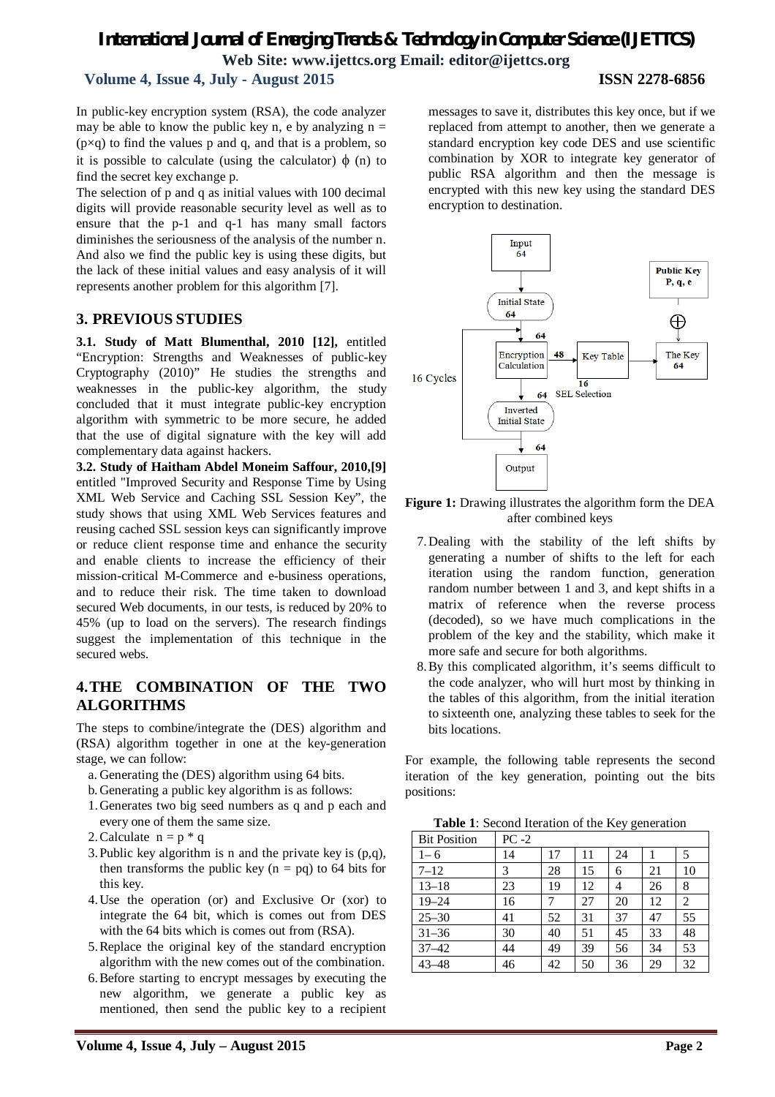# *International Journal of Emerging Trends & Technology in Computer Science (IJETTCS)* **Web Site: www.ijettcs.org Email: editor@ijettcs.org**

# **Volume 4, Issue 4, July - August 2015 ISSN 2278-6856**

In public-key encryption system (RSA), the code analyzer may be able to know the public key n, e by analyzing  $n =$  $(p \times q)$  to find the values p and q, and that is a problem, so it is possible to calculate (using the calculator)  $\phi$  (n) to find the secret key exchange p.

The selection of p and q as initial values with 100 decimal digits will provide reasonable security level as well as to ensure that the p-1 and q-1 has many small factors diminishes the seriousness of the analysis of the number n. And also we find the public key is using these digits, but the lack of these initial values and easy analysis of it will represents another problem for this algorithm [7].

#### **3. PREVIOUS STUDIES**

**3.1. Study of Matt Blumenthal, 2010 [12],** entitled "Encryption: Strengths and Weaknesses of public-key Cryptography (2010)" He studies the strengths and weaknesses in the public-key algorithm, the study concluded that it must integrate public-key encryption algorithm with symmetric to be more secure, he added that the use of digital signature with the key will add complementary data against hackers.

**3.2. Study of Haitham Abdel Moneim Saffour, 2010,[9]** entitled "Improved Security and Response Time by Using XML Web Service and Caching SSL Session Key", the study shows that using XML Web Services features and reusing cached SSL session keys can significantly improve or reduce client response time and enhance the security and enable clients to increase the efficiency of their mission-critical M-Commerce and e-business operations, and to reduce their risk. The time taken to download secured Web documents, in our tests, is reduced by 20% to 45% (up to load on the servers). The research findings suggest the implementation of this technique in the secured webs.

### **4.THE COMBINATION OF THE TWO ALGORITHMS**

The steps to combine/integrate the (DES) algorithm and (RSA) algorithm together in one at the key-generation stage, we can follow:

- a. Generating the (DES) algorithm using 64 bits.
- b. Generating a public key algorithm is as follows:
- 1.Generates two big seed numbers as q and p each and every one of them the same size.
- 2. Calculate  $n = p * q$
- 3.Public key algorithm is n and the private key is (p,q), then transforms the public key  $(n = pq)$  to 64 bits for this key.
- 4.Use the operation (or) and Exclusive Or (xor) to integrate the 64 bit, which is comes out from DES with the 64 bits which is comes out from (RSA).
- 5.Replace the original key of the standard encryption algorithm with the new comes out of the combination.
- 6.Before starting to encrypt messages by executing the new algorithm, we generate a public key as mentioned, then send the public key to a recipient

messages to save it, distributes this key once, but if we replaced from attempt to another, then we generate a standard encryption key code DES and use scientific combination by XOR to integrate key generator of public RSA algorithm and then the message is encrypted with this new key using the standard DES encryption to destination.



**Figure 1:** Drawing illustrates the algorithm form the DEA after combined keys

- 7.Dealing with the stability of the left shifts by generating a number of shifts to the left for each iteration using the random function, generation random number between 1 and 3, and kept shifts in a matrix of reference when the reverse process (decoded), so we have much complications in the problem of the key and the stability, which make it more safe and secure for both algorithms.
- 8.By this complicated algorithm, it's seems difficult to the code analyzer, who will hurt most by thinking in the tables of this algorithm, from the initial iteration to sixteenth one, analyzing these tables to seek for the bits locations.

For example, the following table represents the second iteration of the key generation, pointing out the bits positions:

**Table 1**: Second Iteration of the Key generation

| <b>Bit Position</b> | $PC -2$ |    |    |    |    |    |
|---------------------|---------|----|----|----|----|----|
| $1 - 6$             | 14      | 17 | 11 | 24 |    | 5  |
| $7 - 12$            | 3       | 28 | 15 | 6  | 21 | 10 |
| $13 - 18$           | 23      | 19 | 12 | 4  | 26 | 8  |
| $19 - 24$           | 16      |    | 27 | 20 | 12 | 2  |
| $25 - 30$           | 41      | 52 | 31 | 37 | 47 | 55 |
| $31 - 36$           | 30      | 40 | 51 | 45 | 33 | 48 |
| $37 - 42$           | 44      | 49 | 39 | 56 | 34 | 53 |
| $43 - 48$           | 46      | 42 | 50 | 36 | 29 | 32 |